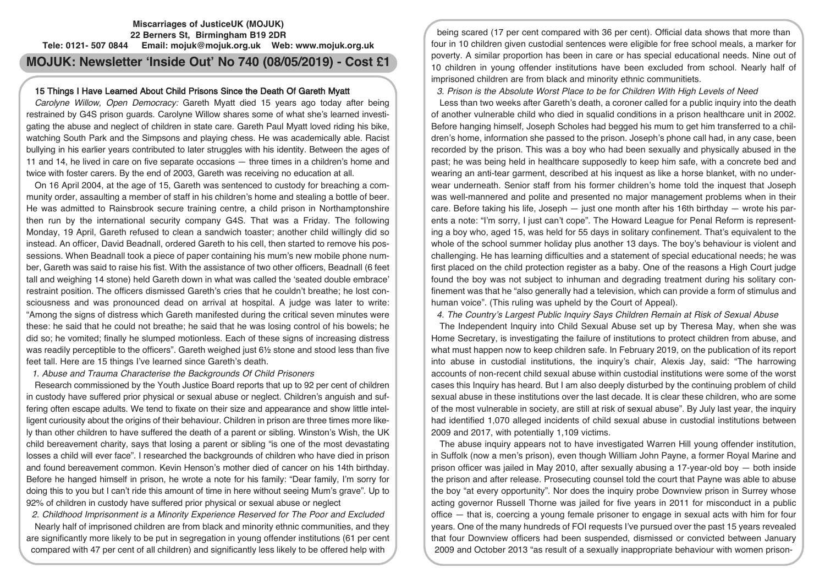# **Miscarriages of JusticeUK (MOJUK) 22 Berners St, Birmingham B19 2DR Tele: 0121- 507 0844 Email: mojuk@mojuk.org.uk Web: www.mojuk.org.uk MOJUK: Newsletter 'Inside Out' No 740 (08/05/2019) - Cost £1**

# 15 Things I Have Learned About Child Prisons Since the Death Of Gareth Myatt

Carolyne Willow, Open Democracy: Gareth Myatt died 15 years ago today after being restrained by G4S prison guards. Carolyne Willow shares some of what she's learned investigating the abuse and neglect of children in state care. Gareth Paul Myatt loved riding his bike, watching South Park and the Simpsons and playing chess. He was academically able. Racist bullying in his earlier years contributed to later struggles with his identity. Between the ages of 11 and 14, he lived in care on five separate occasions — three times in a children's home and twice with foster carers. By the end of 2003, Gareth was receiving no education at all.

On 16 April 2004, at the age of 15, Gareth was sentenced to custody for breaching a community order, assaulting a member of staff in his children's home and stealing a bottle of beer. He was admitted to Rainsbrook secure training centre, a child prison in Northamptonshire then run by the international security company G4S. That was a Friday. The following Monday, 19 April, Gareth refused to clean a sandwich toaster; another child willingly did so instead. An officer, David Beadnall, ordered Gareth to his cell, then started to remove his possessions. When Beadnall took a piece of paper containing his mum's new mobile phone number, Gareth was said to raise his fist. With the assistance of two other officers, Beadnall (6 feet tall and weighing 14 stone) held Gareth down in what was called the 'seated double embrace' restraint position. The officers dismissed Gareth's cries that he couldn't breathe; he lost consciousness and was pronounced dead on arrival at hospital. A judge was later to write: "Among the signs of distress which Gareth manifested during the critical seven minutes were these: he said that he could not breathe; he said that he was losing control of his bowels; he did so; he vomited; finally he slumped motionless. Each of these signs of increasing distress was readily perceptible to the officers". Gareth weighed just 6½ stone and stood less than five feet tall. Here are 15 things I've learned since Gareth's death.

*1. Abuse and Trauma Characterise the Backgrounds Of Child Prisoners*

Research commissioned by the Youth Justice Board reports that up to 92 per cent of children in custody have suffered prior physical or sexual abuse or neglect. Children's anguish and suffering often escape adults. We tend to fixate on their size and appearance and show little intelligent curiousity about the origins of their behaviour. Children in prison are three times more likely than other children to have suffered the death of a parent or sibling. Winston's Wish, the UK child bereavement charity, says that losing a parent or sibling "is one of the most devastating losses a child will ever face". I researched the backgrounds of children who have died in prison and found bereavement common. Kevin Henson's mother died of cancer on his 14th birthday. Before he hanged himself in prison, he wrote a note for his family: "Dear family, I'm sorry for doing this to you but I can't ride this amount of time in here without seeing Mum's grave". Up to 92% of children in custody have suffered prior physical or sexual abuse or neglect

*2. Childhood Imprisonment is a Minority Experience Reserved for The Poor and Excluded*

Nearly half of imprisoned children are from black and minority ethnic communities, and they are significantly more likely to be put in segregation in young offender institutions (61 per cent compared with 47 per cent of all children) and significantly less likely to be offered help with

being scared (17 per cent compared with 36 per cent). Official data shows that more than four in 10 children given custodial sentences were eligible for free school meals, a marker for poverty. A similar proportion has been in care or has special educational needs. Nine out of 10 children in young offender institutions have been excluded from school. Nearly half of imprisoned children are from black and minority ethnic communitiets.

*3. Prison is the Absolute Worst Place to be for Children With High Levels of Need*

Less than two weeks after Gareth's death, a coroner called for a public inquiry into the death of another vulnerable child who died in squalid conditions in a prison healthcare unit in 2002. Before hanging himself, Joseph Scholes had begged his mum to get him transferred to a children's home, information she passed to the prison. Joseph's phone call had, in any case, been recorded by the prison. This was a boy who had been sexually and physically abused in the past; he was being held in healthcare supposedly to keep him safe, with a concrete bed and wearing an anti-tear garment, described at his inquest as like a horse blanket, with no underwear underneath. Senior staff from his former children's home told the inquest that Joseph was well-mannered and polite and presented no major management problems when in their care. Before taking his life, Joseph  $-$  just one month after his 16th birthday  $-$  wrote his parents a note: "I'm sorry, I just can't cope". The Howard League for Penal Reform is representing a boy who, aged 15, was held for 55 days in solitary confinement. That's equivalent to the whole of the school summer holiday plus another 13 days. The boy's behaviour is violent and challenging. He has learning difficulties and a statement of special educational needs; he was first placed on the child protection register as a baby. One of the reasons a High Court judge found the boy was not subject to inhuman and degrading treatment during his solitary confinement was that he "also generally had a television, which can provide a form of stimulus and human voice". (This ruling was upheld by the Court of Appeal).

*4. The Country's Largest Public Inquiry Says Children Remain at Risk of Sexual Abuse*

The Independent Inquiry into Child Sexual Abuse set up by Theresa May, when she was Home Secretary, is investigating the failure of institutions to protect children from abuse, and what must happen now to keep children safe. In February 2019, on the publication of its report into abuse in custodial institutions, the inquiry's chair, Alexis Jay, said: "The harrowing accounts of non-recent child sexual abuse within custodial institutions were some of the worst cases this Inquiry has heard. But I am also deeply disturbed by the continuing problem of child sexual abuse in these institutions over the last decade. It is clear these children, who are some of the most vulnerable in society, are still at risk of sexual abuse". By July last year, the inquiry had identified 1,070 alleged incidents of child sexual abuse in custodial institutions between 2009 and 2017, with potentially 1,109 victims.

The abuse inquiry appears not to have investigated Warren Hill young offender institution, in Suffolk (now a men's prison), even though William John Payne, a former Royal Marine and prison officer was jailed in May 2010, after sexually abusing a 17-year-old boy — both inside the prison and after release. Prosecuting counsel told the court that Payne was able to abuse the boy "at every opportunity". Nor does the inquiry probe Downview prison in Surrey whose acting governor Russell Thorne was jailed for five years in 2011 for misconduct in a public office — that is, coercing a young female prisoner to engage in sexual acts with him for four years. One of the many hundreds of FOI requests I've pursued over the past 15 years revealed that four Downview officers had been suspended, dismissed or convicted between January 2009 and October 2013 "as result of a sexually inappropriate behaviour with women prison-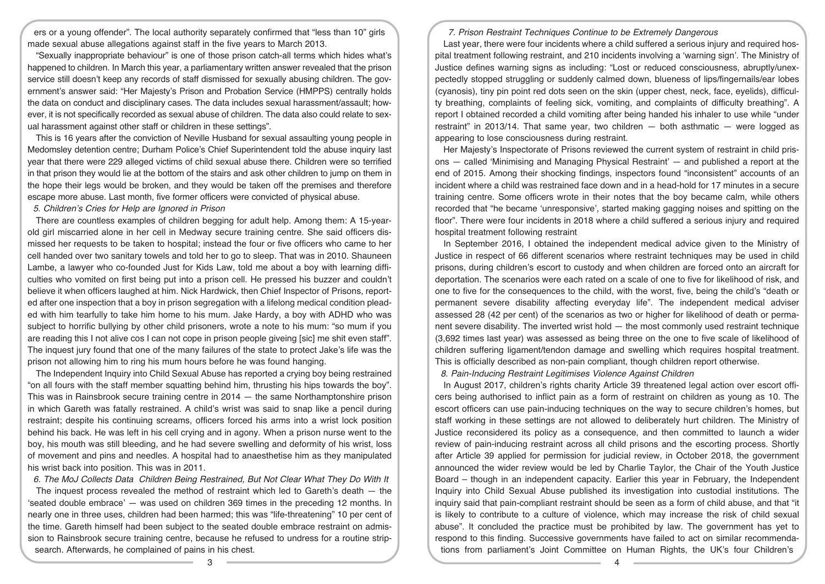ers or a young offender". The local authority separately confirmed that "less than 10" girls made sexual abuse allegations against staff in the five years to March 2013.

"Sexually inappropriate behaviour" is one of those prison catch-all terms which hides what's happened to children. In March this year, a parliamentary written answer revealed that the prison service still doesn't keep any records of staff dismissed for sexually abusing children. The government's answer said: "Her Majesty's Prison and Probation Service (HMPPS) centrally holds the data on conduct and disciplinary cases. The data includes sexual harassment/assault; however, it is not specifically recorded as sexual abuse of children. The data also could relate to sexual harassment against other staff or children in these settings".

This is 16 years after the conviction of Neville Husband for sexual assaulting young people in Medomsley detention centre; Durham Police's Chief Superintendent told the abuse inquiry last year that there were 229 alleged victims of child sexual abuse there. Children were so terrified in that prison they would lie at the bottom of the stairs and ask other children to jump on them in the hope their legs would be broken, and they would be taken off the premises and therefore escape more abuse. Last month, five former officers were convicted of physical abuse.

*5. Children's Cries for Help are Ignored in Prison*

There are countless examples of children begging for adult help. Among them: A 15-yearold girl miscarried alone in her cell in Medway secure training centre. She said officers dismissed her requests to be taken to hospital; instead the four or five officers who came to her cell handed over two sanitary towels and told her to go to sleep. That was in 2010. Shauneen Lambe, a lawyer who co-founded Just for Kids Law, told me about a boy with learning difficulties who vomited on first being put into a prison cell. He pressed his buzzer and couldn't believe it when officers laughed at him. Nick Hardwick, then Chief Inspector of Prisons, reported after one inspection that a boy in prison segregation with a lifelong medical condition pleaded with him tearfully to take him home to his mum. Jake Hardy, a boy with ADHD who was subject to horrific bullying by other child prisoners, wrote a note to his mum: "so mum if you are reading this I not alive cos I can not cope in prison people giveing [sic] me shit even staff". The inquest jury found that one of the many failures of the state to protect Jake's life was the prison not allowing him to ring his mum hours before he was found hanging.

The Independent Inquiry into Child Sexual Abuse has reported a crying boy being restrained "on all fours with the staff member squatting behind him, thrusting his hips towards the boy". This was in Rainsbrook secure training centre in  $2014 -$  the same Northamptonshire prison in which Gareth was fatally restrained. A child's wrist was said to snap like a pencil during restraint; despite his continuing screams, officers forced his arms into a wrist lock position behind his back. He was left in his cell crying and in agony. When a prison nurse went to the boy, his mouth was still bleeding, and he had severe swelling and deformity of his wrist, loss of movement and pins and needles. A hospital had to anaesthetise him as they manipulated his wrist back into position. This was in 2011.

*6. The MoJ Collects Data Children Being Restrained, But Not Clear What They Do With It*

The inquest process revealed the method of restraint which led to Gareth's death  $-$  the 'seated double embrace' — was used on children 369 times in the preceding 12 months. In nearly one in three uses, children had been harmed; this was "life-threatening" 10 per cent of the time. Gareth himself had been subject to the seated double embrace restraint on admission to Rainsbrook secure training centre, because he refused to undress for a routine stripsearch. Afterwards, he complained of pains in his chest.

#### *7. Prison Restraint Techniques Continue to be Extremely Dangerous*

Last year, there were four incidents where a child suffered a serious injury and required hospital treatment following restraint, and 210 incidents involving a 'warning sign'. The Ministry of Justice defines warning signs as including: "Lost or reduced consciousness, abruptly/unexpectedly stopped struggling or suddenly calmed down, blueness of lips/fingernails/ear lobes (cyanosis), tiny pin point red dots seen on the skin (upper chest, neck, face, eyelids), difficulty breathing, complaints of feeling sick, vomiting, and complaints of difficulty breathing". A report I obtained recorded a child vomiting after being handed his inhaler to use while "under restraint" in 2013/14. That same year, two children  $-$  both asthmatic  $-$  were logged as appearing to lose consciousness during restraint.

Her Majesty's Inspectorate of Prisons reviewed the current system of restraint in child prisons — called 'Minimising and Managing Physical Restraint' — and published a report at the end of 2015. Among their shocking findings, inspectors found "inconsistent" accounts of an incident where a child was restrained face down and in a head-hold for 17 minutes in a secure training centre. Some officers wrote in their notes that the boy became calm, while others recorded that "he became 'unresponsive', started making gagging noises and spitting on the floor". There were four incidents in 2018 where a child suffered a serious injury and required hospital treatment following restraint

In September 2016, I obtained the independent medical advice given to the Ministry of Justice in respect of 66 different scenarios where restraint techniques may be used in child prisons, during children's escort to custody and when children are forced onto an aircraft for deportation. The scenarios were each rated on a scale of one to five for likelihood of risk, and one to five for the consequences to the child, with the worst, five, being the child's "death or permanent severe disability affecting everyday life". The independent medical adviser assessed 28 (42 per cent) of the scenarios as two or higher for likelihood of death or permanent severe disability. The inverted wrist hold — the most commonly used restraint technique (3,692 times last year) was assessed as being three on the one to five scale of likelihood of children suffering ligament/tendon damage and swelling which requires hospital treatment. This is officially described as non-pain compliant, though children report otherwise.

*8. Pain-Inducing Restraint Legitimises Violence Against Children*

In August 2017, children's rights charity Article 39 threatened legal action over escort officers being authorised to inflict pain as a form of restraint on children as young as 10. The escort officers can use pain-inducing techniques on the way to secure children's homes, but staff working in these settings are not allowed to deliberately hurt children. The Ministry of Justice reconsidered its policy as a consequence, and then committed to launch a wider review of pain-inducing restraint across all child prisons and the escorting process. Shortly after Article 39 applied for permission for judicial review, in October 2018, the government announced the wider review would be led by Charlie Taylor, the Chair of the Youth Justice Board – though in an independent capacity. Earlier this year in February, the Independent Inquiry into Child Sexual Abuse published its investigation into custodial institutions. The inquiry said that pain-compliant restraint should be seen as a form of child abuse, and that "it is likely to contribute to a culture of violence, which may increase the risk of child sexual abuse". It concluded the practice must be prohibited by law. The government has yet to respond to this finding. Successive governments have failed to act on similar recommendations from parliament's Joint Committee on Human Rights, the UK's four Children's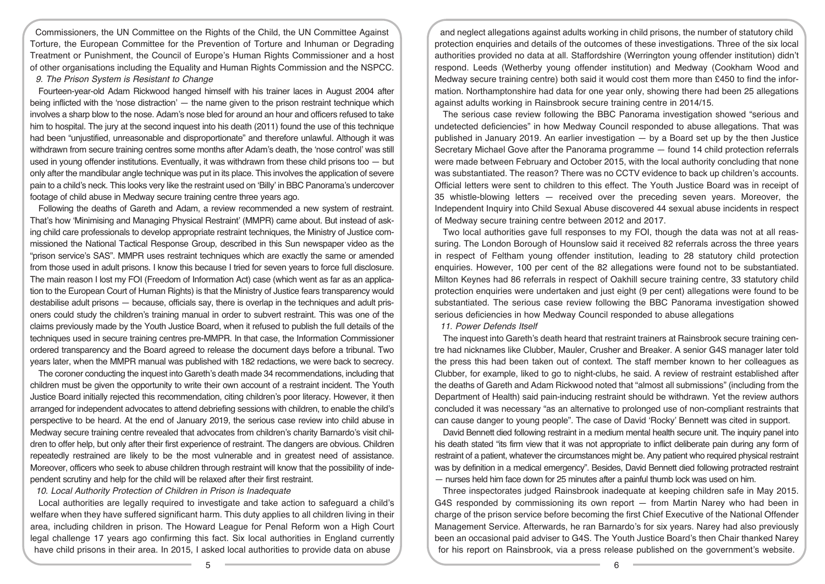Commissioners, the UN Committee on the Rights of the Child, the UN Committee Against Torture, the European Committee for the Prevention of Torture and Inhuman or Degrading Treatment or Punishment, the Council of Europe's Human Rights Commissioner and a host of other organisations including the Equality and Human Rights Commission and the NSPCC. *9. The Prison System is Resistant to Change*

Fourteen-year-old Adam Rickwood hanged himself with his trainer laces in August 2004 after being inflicted with the 'nose distraction' — the name given to the prison restraint technique which involves a sharp blow to the nose. Adam's nose bled for around an hour and officers refused to take him to hospital. The jury at the second inquest into his death (2011) found the use of this technique had been "unjustified, unreasonable and disproportionate" and therefore unlawful. Although it was withdrawn from secure training centres some months after Adam's death, the 'nose control' was still used in young offender institutions. Eventually, it was withdrawn from these child prisons too  $-$  but only after the mandibular angle technique was put in its place. This involves the application of severe pain to a child's neck. This looks very like the restraint used on 'Billy' in BBC Panorama's undercover footage of child abuse in Medway secure training centre three years ago.

Following the deaths of Gareth and Adam, a review recommended a new system of restraint. That's how 'Minimising and Managing Physical Restraint' (MMPR) came about. But instead of asking child care professionals to develop appropriate restraint techniques, the Ministry of Justice commissioned the National Tactical Response Group, described in this Sun newspaper video as the "prison service's SAS". MMPR uses restraint techniques which are exactly the same or amended from those used in adult prisons. I know this because I tried for seven years to force full disclosure. The main reason I lost my FOI (Freedom of Information Act) case (which went as far as an application to the European Court of Human Rights) is that the Ministry of Justice fears transparency would destabilise adult prisons — because, officials say, there is overlap in the techniques and adult prisoners could study the children's training manual in order to subvert restraint. This was one of the claims previously made by the Youth Justice Board, when it refused to publish the full details of the techniques used in secure training centres pre-MMPR. In that case, the Information Commissioner ordered transparency and the Board agreed to release the document days before a tribunal. Two years later, when the MMPR manual was published with 182 redactions, we were back to secrecy.

The coroner conducting the inquest into Gareth's death made 34 recommendations, including that children must be given the opportunity to write their own account of a restraint incident. The Youth Justice Board initially rejected this recommendation, citing children's poor literacy. However, it then arranged for independent advocates to attend debriefing sessions with children, to enable the child's perspective to be heard. At the end of January 2019, the serious case review into child abuse in Medway secure training centre revealed that advocates from children's charity Barnardo's visit children to offer help, but only after their first experience of restraint. The dangers are obvious. Children repeatedly restrained are likely to be the most vulnerable and in greatest need of assistance. Moreover, officers who seek to abuse children through restraint will know that the possibility of independent scrutiny and help for the child will be relaxed after their first restraint.

*10. Local Authority Protection of Children in Prison is Inadequate*

Local authorities are legally required to investigate and take action to safeguard a child's welfare when they have suffered significant harm. This duty applies to all children living in their area, including children in prison. The Howard League for Penal Reform won a High Court legal challenge 17 years ago confirming this fact. Six local authorities in England currently have child prisons in their area. In 2015, I asked local authorities to provide data on abuse

and neglect allegations against adults working in child prisons, the number of statutory child protection enquiries and details of the outcomes of these investigations. Three of the six local authorities provided no data at all. Staffordshire (Werrington young offender institution) didn't respond. Leeds (Wetherby young offender institution) and Medway (Cookham Wood and Medway secure training centre) both said it would cost them more than £450 to find the information. Northamptonshire had data for one year only, showing there had been 25 allegations against adults working in Rainsbrook secure training centre in 2014/15.

The serious case review following the BBC Panorama investigation showed "serious and undetected deficiencies" in how Medway Council responded to abuse allegations. That was published in January 2019. An earlier investigation  $-$  by a Board set up by the then Justice Secretary Michael Gove after the Panorama programme — found 14 child protection referrals were made between February and October 2015, with the local authority concluding that none was substantiated. The reason? There was no CCTV evidence to back up children's accounts. Official letters were sent to children to this effect. The Youth Justice Board was in receipt of 35 whistle-blowing letters — received over the preceding seven years. Moreover, the Independent Inquiry into Child Sexual Abuse discovered 44 sexual abuse incidents in respect of Medway secure training centre between 2012 and 2017.

Two local authorities gave full responses to my FOI, though the data was not at all reassuring. The London Borough of Hounslow said it received 82 referrals across the three years in respect of Feltham young offender institution, leading to 28 statutory child protection enquiries. However, 100 per cent of the 82 allegations were found not to be substantiated. Milton Keynes had 86 referrals in respect of Oakhill secure training centre, 33 statutory child protection enquiries were undertaken and just eight (9 per cent) allegations were found to be substantiated. The serious case review following the BBC Panorama investigation showed serious deficiencies in how Medway Council responded to abuse allegations

*11. Power Defends Itself*

The inquest into Gareth's death heard that restraint trainers at Rainsbrook secure training centre had nicknames like Clubber, Mauler, Crusher and Breaker. A senior G4S manager later told the press this had been taken out of context. The staff member known to her colleagues as Clubber, for example, liked to go to night-clubs, he said. A review of restraint established after the deaths of Gareth and Adam Rickwood noted that "almost all submissions" (including from the Department of Health) said pain-inducing restraint should be withdrawn. Yet the review authors concluded it was necessary "as an alternative to prolonged use of non-compliant restraints that can cause danger to young people". The case of David 'Rocky' Bennett was cited in support.

David Bennett died following restraint in a medium mental health secure unit. The inquiry panel into his death stated "its firm view that it was not appropriate to inflict deliberate pain during any form of restraint of a patient, whatever the circumstances might be. Any patient who required physical restraint was by definition in a medical emergency". Besides, David Bennett died following protracted restraint — nurses held him face down for 25 minutes after a painful thumb lock was used on him.

Three inspectorates judged Rainsbrook inadequate at keeping children safe in May 2015. G4S responded by commissioning its own report — from Martin Narey who had been in charge of the prison service before becoming the first Chief Executive of the National Offender Management Service. Afterwards, he ran Barnardo's for six years. Narey had also previously been an occasional paid adviser to G4S. The Youth Justice Board's then Chair thanked Narey for his report on Rainsbrook, via a press release published on the government's website.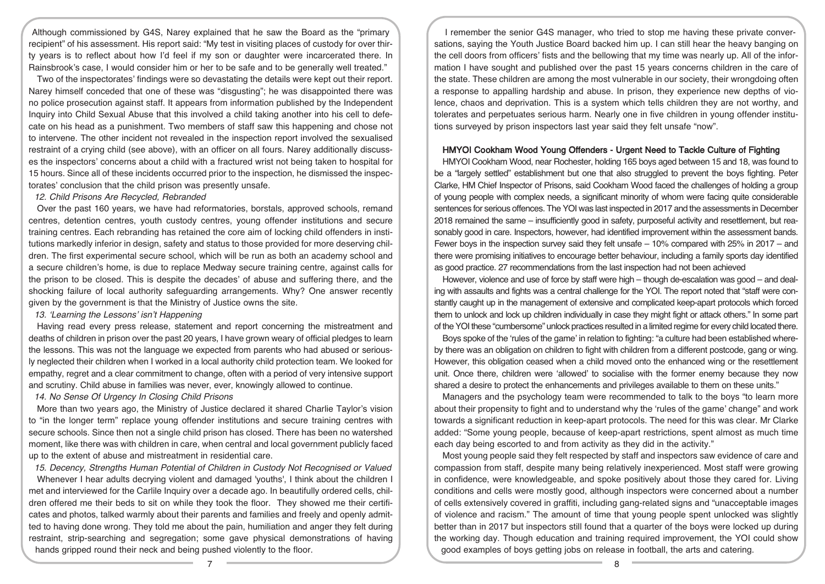Although commissioned by G4S, Narey explained that he saw the Board as the "primary recipient" of his assessment. His report said: "My test in visiting places of custody for over thirty years is to reflect about how I'd feel if my son or daughter were incarcerated there. In Rainsbrook's case, I would consider him or her to be safe and to be generally well treated."

Two of the inspectorates' findings were so devastating the details were kept out their report. Narey himself conceded that one of these was "disgusting"; he was disappointed there was no police prosecution against staff. It appears from information published by the Independent Inquiry into Child Sexual Abuse that this involved a child taking another into his cell to defecate on his head as a punishment. Two members of staff saw this happening and chose not to intervene. The other incident not revealed in the inspection report involved the sexualised restraint of a crying child (see above), with an officer on all fours. Narey additionally discusses the inspectors' concerns about a child with a fractured wrist not being taken to hospital for 15 hours. Since all of these incidents occurred prior to the inspection, he dismissed the inspectorates' conclusion that the child prison was presently unsafe.

#### *12. Child Prisons Are Recycled, Rebranded*

Over the past 160 years, we have had reformatories, borstals, approved schools, remand centres, detention centres, youth custody centres, young offender institutions and secure training centres. Each rebranding has retained the core aim of locking child offenders in institutions markedly inferior in design, safety and status to those provided for more deserving children. The first experimental secure school, which will be run as both an academy school and a secure children's home, is due to replace Medway secure training centre, against calls for the prison to be closed. This is despite the decades' of abuse and suffering there, and the shocking failure of local authority safeguarding arrangements. Why? One answer recently given by the government is that the Ministry of Justice owns the site.

*13. 'Learning the Lessons' isn't Happening*

Having read every press release, statement and report concerning the mistreatment and deaths of children in prison over the past 20 years, I have grown weary of official pledges to learn the lessons. This was not the language we expected from parents who had abused or seriously neglected their children when I worked in a local authority child protection team. We looked for empathy, regret and a clear commitment to change, often with a period of very intensive support and scrutiny. Child abuse in families was never, ever, knowingly allowed to continue.

#### *14. No Sense Of Urgency In Closing Child Prisons*

More than two years ago, the Ministry of Justice declared it shared Charlie Taylor's vision to "in the longer term" replace young offender institutions and secure training centres with secure schools. Since then not a single child prison has closed. There has been no watershed moment, like there was with children in care, when central and local government publicly faced up to the extent of abuse and mistreatment in residential care.

*15. Decency, Strengths Human Potential of Children in Custody Not Recognised or Valued*

Whenever I hear adults decrying violent and damaged 'youths', I think about the children I met and interviewed for the Carlile Inquiry over a decade ago. In beautifully ordered cells, children offered me their beds to sit on while they took the floor. They showed me their certificates and photos, talked warmly about their parents and families and freely and openly admitted to having done wrong. They told me about the pain, humiliation and anger they felt during restraint, strip-searching and segregation; some gave physical demonstrations of having hands gripped round their neck and being pushed violently to the floor.

I remember the senior G4S manager, who tried to stop me having these private conversations, saying the Youth Justice Board backed him up. I can still hear the heavy banging on the cell doors from officers' fists and the bellowing that my time was nearly up. All of the information I have sought and published over the past 15 years concerns children in the care of the state. These children are among the most vulnerable in our society, their wrongdoing often a response to appalling hardship and abuse. In prison, they experience new depths of violence, chaos and deprivation. This is a system which tells children they are not worthy, and tolerates and perpetuates serious harm. Nearly one in five children in young offender institutions surveyed by prison inspectors last year said they felt unsafe "now".

#### HMYOI Cookham Wood Young Offenders - Urgent Need to Tackle Culture of Fighting

HMYOI Cookham Wood, near Rochester, holding 165 boys aged between 15 and 18, was found to be a "largely settled" establishment but one that also struggled to prevent the boys fighting. Peter Clarke, HM Chief Inspector of Prisons, said Cookham Wood faced the challenges of holding a group of young people with complex needs, a significant minority of whom were facing quite considerable sentences for serious offences. The YOI was last inspected in 2017 and the assessments in December 2018 remained the same – insufficiently good in safety, purposeful activity and resettlement, but reasonably good in care. Inspectors, however, had identified improvement within the assessment bands. Fewer boys in the inspection survey said they felt unsafe – 10% compared with 25% in 2017 – and there were promising initiatives to encourage better behaviour, including a family sports day identified as good practice. 27 recommendations from the last inspection had not been achieved

However, violence and use of force by staff were high – though de-escalation was good – and dealing with assaults and fights was a central challenge for the YOI. The report noted that "staff were constantly caught up in the management of extensive and complicated keep-apart protocols which forced them to unlock and lock up children individually in case they might fight or attack others." In some part of theYOI these "cumbersome" unlock practices resulted in a limited regime for every child located there.

Boys spoke of the 'rules of the game' in relation to fighting: "a culture had been established whereby there was an obligation on children to fight with children from a different postcode, gang or wing. However, this obligation ceased when a child moved onto the enhanced wing or the resettlement unit. Once there, children were 'allowed' to socialise with the former enemy because they now shared a desire to protect the enhancements and privileges available to them on these units."

Managers and the psychology team were recommended to talk to the boys "to learn more about their propensity to fight and to understand why the 'rules of the game' change" and work towards a significant reduction in keep-apart protocols. The need for this was clear. Mr Clarke added: "Some young people, because of keep-apart restrictions, spent almost as much time each day being escorted to and from activity as they did in the activity."

Most young people said they felt respected by staff and inspectors saw evidence of care and compassion from staff, despite many being relatively inexperienced. Most staff were growing in confidence, were knowledgeable, and spoke positively about those they cared for. Living conditions and cells were mostly good, although inspectors were concerned about a number of cells extensively covered in graffiti, including gang-related signs and "unacceptable images of violence and racism." The amount of time that young people spent unlocked was slightly better than in 2017 but inspectors still found that a quarter of the boys were locked up during the working day. Though education and training required improvement, the YOI could show good examples of boys getting jobs on release in football, the arts and catering.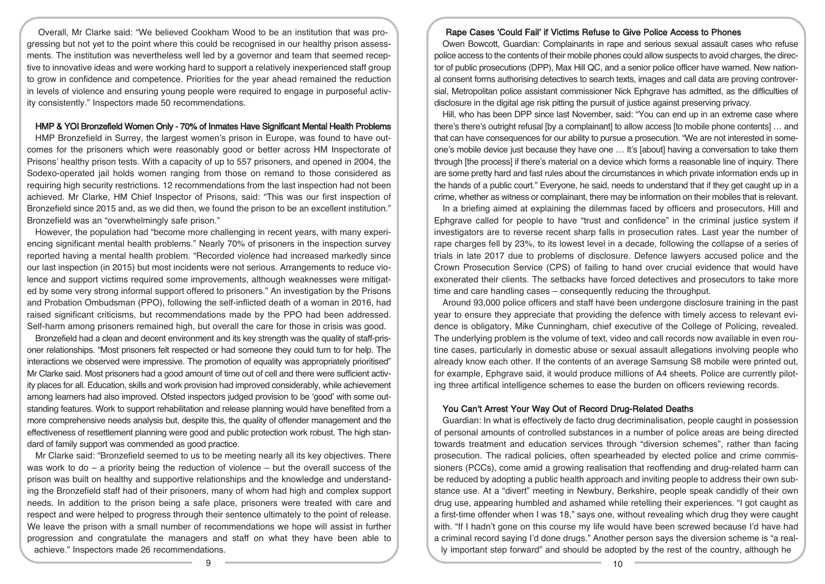Overall, Mr Clarke said: "We believed Cookham Wood to be an institution that was progressing but not yet to the point where this could be recognised in our healthy prison assessments. The institution was nevertheless well led by a governor and team that seemed receptive to innovative ideas and were working hard to support a relatively inexperienced staff group to grow in confidence and competence. Priorities for the year ahead remained the reduction in levels of violence and ensuring young people were required to engage in purposeful activity consistently." Inspectors made 50 recommendations.

# HMP & YOI Bronzefield Women Only - 70% of Inmates Have Significant Mental Health Problems

HMP Bronzefield in Surrey, the largest women's prison in Europe, was found to have outcomes for the prisoners which were reasonably good or better across HM Inspectorate of Prisons' healthy prison tests. With a capacity of up to 557 prisoners, and opened in 2004, the Sodexo-operated jail holds women ranging from those on remand to those considered as requiring high security restrictions. 12 recommendations from the last inspection had not been achieved. Mr Clarke, HM Chief Inspector of Prisons, said: "This was our first inspection of Bronzefield since 2015 and, as we did then, we found the prison to be an excellent institution." Bronzefield was an "overwhelmingly safe prison."

However, the population had "become more challenging in recent years, with many experiencing significant mental health problems." Nearly 70% of prisoners in the inspection survey reported having a mental health problem. "Recorded violence had increased markedly since our last inspection (in 2015) but most incidents were not serious. Arrangements to reduce violence and support victims required some improvements, although weaknesses were mitigated by some very strong informal support offered to prisoners." An investigation by the Prisons and Probation Ombudsman (PPO), following the self-inflicted death of a woman in 2016, had raised significant criticisms, but recommendations made by the PPO had been addressed. Self-harm among prisoners remained high, but overall the care for those in crisis was good.

Bronzefield had a clean and decent environment and its key strength was the quality of staff-prisoner relationships. "Most prisoners felt respected or had someone they could turn to for help. The interactions we observed were impressive. The promotion of equality was appropriately prioritised" Mr Clarke said. Most prisoners had a good amount of time out of cell and there were sufficient activity places for all. Education, skills and work provision had improved considerably, while achievement among learners had also improved. Ofsted inspectors judged provision to be 'good' with some outstanding features. Work to support rehabilitation and release planning would have benefited from a more comprehensive needs analysis but, despite this, the quality of offender management and the effectiveness of resettlement planning were good and public protection work robust. The high standard of family support was commended as good practice.

Mr Clarke said: "Bronzefield seemed to us to be meeting nearly all its key objectives. There was work to  $do - a$  priority being the reduction of violence  $-$  but the overall success of the prison was built on healthy and supportive relationships and the knowledge and understanding the Bronzefield staff had of their prisoners, many of whom had high and complex support needs. In addition to the prison being a safe place, prisoners were treated with care and respect and were helped to progress through their sentence ultimately to the point of release. We leave the prison with a small number of recommendations we hope will assist in further progression and congratulate the managers and staff on what they have been able to achieve." Inspectors made 26 recommendations.

# Rape Cases 'Could Fail' if Victims Refuse to Give Police Access to Phones

Owen Bowcott, Guardian: Complainants in rape and serious sexual assault cases who refuse police access to the contents of their mobile phones could allow suspects to avoid charges, the director of public prosecutions (DPP), Max Hill QC, and a senior police officer have warned. New national consent forms authorising detectives to search texts, images and call data are proving controversial, Metropolitan police assistant commissioner Nick Ephgrave has admitted, as the difficulties of disclosure in the digital age risk pitting the pursuit of justice against preserving privacy.

Hill, who has been DPP since last November, said: "You can end up in an extreme case where there's there's outright refusal [by a complainant] to allow access [to mobile phone contents] ... and that can have consequences for our ability to pursue a prosecution. "We are not interested in someone's mobile device just because they have one … It's [about] having a conversation to take them through [the process] if there's material on a device which forms a reasonable line of inquiry. There are some pretty hard and fast rules about the circumstances in which private information ends up in the hands of a public court." Everyone, he said, needs to understand that if they get caught up in a crime, whether as witness or complainant, there may be information on their mobiles that is relevant.

In a briefing aimed at explaining the dilemmas faced by officers and prosecutors, Hill and Ephgrave called for people to have "trust and confidence" in the criminal justice system if investigators are to reverse recent sharp falls in prosecution rates. Last year the number of rape charges fell by 23%, to its lowest level in a decade, following the collapse of a series of trials in late 2017 due to problems of disclosure. Defence lawyers accused police and the Crown Prosecution Service (CPS) of failing to hand over crucial evidence that would have exonerated their clients. The setbacks have forced detectives and prosecutors to take more time and care handling cases – consequently reducing the throughput.

Around 93,000 police officers and staff have been undergone disclosure training in the past year to ensure they appreciate that providing the defence with timely access to relevant evidence is obligatory, Mike Cunningham, chief executive of the College of Policing, revealed. The underlying problem is the volume of text, video and call records now available in even routine cases, particularly in domestic abuse or sexual assault allegations involving people who already know each other. If the contents of an average Samsung S8 mobile were printed out, for example, Ephgrave said, it would produce millions of A4 sheets. Police are currently piloting three artifical intelligence schemes to ease the burden on officers reviewing records.

# You Can't Arrest Your Way Out of Record Drug-Related Deaths

Guardian: In what is effectively de facto drug decriminalisation, people caught in possession of personal amounts of controlled substances in a number of police areas are being directed towards treatment and education services through "diversion schemes", rather than facing prosecution. The radical policies, often spearheaded by elected police and crime commissioners (PCCs), come amid a growing realisation that reoffending and drug-related harm can be reduced by adopting a public health approach and inviting people to address their own substance use. At a "divert" meeting in Newbury, Berkshire, people speak candidly of their own drug use, appearing humbled and ashamed while retelling their experiences. "I got caught as a first-time offender when I was 18," says one, without revealing which drug they were caught with. "If I hadn't gone on this course my life would have been screwed because I'd have had a criminal record saying I'd done drugs." Another person says the diversion scheme is "a really important step forward" and should be adopted by the rest of the country, although he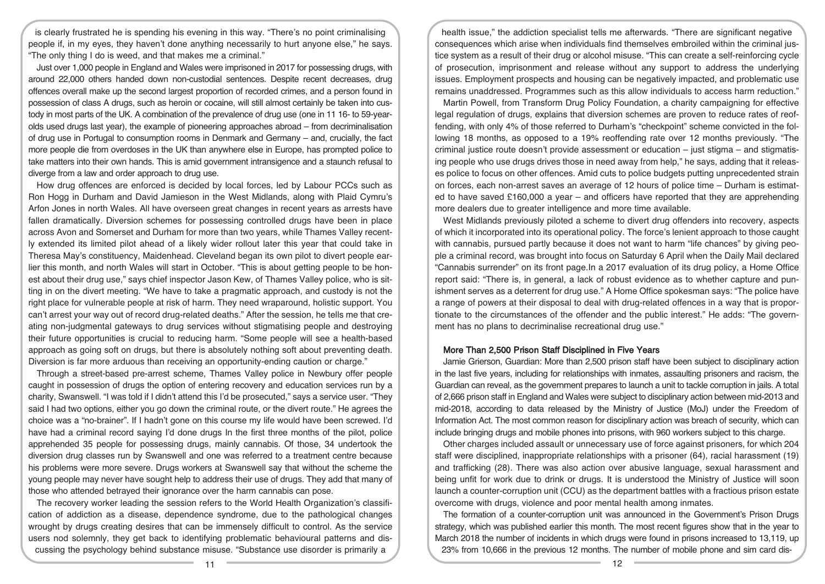is clearly frustrated he is spending his evening in this way. "There's no point criminalising people if, in my eyes, they haven't done anything necessarily to hurt anyone else," he says. "The only thing I do is weed, and that makes me a criminal."

Just over 1,000 people in England and Wales were imprisoned in 2017 for possessing drugs, with around 22,000 others handed down non-custodial sentences. Despite recent decreases, drug offences overall make up the second largest proportion of recorded crimes, and a person found in possession of class A drugs, such as heroin or cocaine, will still almost certainly be taken into custody in most parts of the UK. A combination of the prevalence of drug use (one in 11 16- to 59-yearolds used drugs last year), the example of pioneering approaches abroad – from decriminalisation of drug use in Portugal to consumption rooms in Denmark and Germany – and, crucially, the fact more people die from overdoses in the UK than anywhere else in Europe, has prompted police to take matters into their own hands. This is amid government intransigence and a staunch refusal to diverge from a law and order approach to drug use.

How drug offences are enforced is decided by local forces, led by Labour PCCs such as Ron Hogg in Durham and David Jamieson in the West Midlands, along with Plaid Cymru's Arfon Jones in north Wales. All have overseen great changes in recent years as arrests have fallen dramatically. Diversion schemes for possessing controlled drugs have been in place across Avon and Somerset and Durham for more than two years, while Thames Valley recently extended its limited pilot ahead of a likely wider rollout later this year that could take in Theresa May's constituency, Maidenhead. Cleveland began its own pilot to divert people earlier this month, and north Wales will start in October. "This is about getting people to be honest about their drug use," says chief inspector Jason Kew, of Thames Valley police, who is sitting in on the divert meeting. "We have to take a pragmatic approach, and custody is not the right place for vulnerable people at risk of harm. They need wraparound, holistic support. You can't arrest your way out of record drug-related deaths." After the session, he tells me that creating non-judgmental gateways to drug services without stigmatising people and destroying their future opportunities is crucial to reducing harm. "Some people will see a health-based approach as going soft on drugs, but there is absolutely nothing soft about preventing death. Diversion is far more arduous than receiving an opportunity-ending caution or charge."

Through a street-based pre-arrest scheme, Thames Valley police in Newbury offer people caught in possession of drugs the option of entering recovery and education services run by a charity, Swanswell. "I was told if I didn't attend this I'd be prosecuted," says a service user. "They said I had two options, either you go down the criminal route, or the divert route." He agrees the choice was a "no-brainer". If I hadn't gone on this course my life would have been screwed. I'd have had a criminal record saying I'd done drugs In the first three months of the pilot, police apprehended 35 people for possessing drugs, mainly cannabis. Of those, 34 undertook the diversion drug classes run by Swanswell and one was referred to a treatment centre because his problems were more severe. Drugs workers at Swanswell say that without the scheme the young people may never have sought help to address their use of drugs. They add that many of those who attended betrayed their ignorance over the harm cannabis can pose.

The recovery worker leading the session refers to the World Health Organization's classification of addiction as a disease, dependence syndrome, due to the pathological changes wrought by drugs creating desires that can be immensely difficult to control. As the service users nod solemnly, they get back to identifying problematic behavioural patterns and discussing the psychology behind substance misuse. "Substance use disorder is primarily a

health issue," the addiction specialist tells me afterwards. "There are significant negative consequences which arise when individuals find themselves embroiled within the criminal justice system as a result of their drug or alcohol misuse. "This can create a self-reinforcing cycle of prosecution, imprisonment and release without any support to address the underlying issues. Employment prospects and housing can be negatively impacted, and problematic use remains unaddressed. Programmes such as this allow individuals to access harm reduction."

Martin Powell, from Transform Drug Policy Foundation, a charity campaigning for effective legal regulation of drugs, explains that diversion schemes are proven to reduce rates of reoffending, with only 4% of those referred to Durham's "checkpoint" scheme convicted in the following 18 months, as opposed to a 19% reoffending rate over 12 months previously. "The criminal justice route doesn't provide assessment or education – just stigma – and stigmatising people who use drugs drives those in need away from help," he says, adding that it releases police to focus on other offences. Amid cuts to police budgets putting unprecedented strain on forces, each non-arrest saves an average of 12 hours of police time – Durham is estimated to have saved £160,000 a year – and officers have reported that they are apprehending more dealers due to greater intelligence and more time available.

West Midlands previously piloted a scheme to divert drug offenders into recovery, aspects of which it incorporated into its operational policy. The force's lenient approach to those caught with cannabis, pursued partly because it does not want to harm "life chances" by giving people a criminal record, was brought into focus on Saturday 6 April when the Daily Mail declared "Cannabis surrender" on its front page.In a 2017 evaluation of its drug policy, a Home Office report said: "There is, in general, a lack of robust evidence as to whether capture and punishment serves as a deterrent for drug use." A Home Office spokesman says: "The police have a range of powers at their disposal to deal with drug-related offences in a way that is proportionate to the circumstances of the offender and the public interest." He adds: "The government has no plans to decriminalise recreational drug use."

## More Than 2,500 Prison Staff Disciplined in Five Years

Jamie Grierson, Guardian: More than 2,500 prison staff have been subject to disciplinary action in the last five years, including for relationships with inmates, assaulting prisoners and racism, the Guardian can reveal, as the government prepares to launch a unit to tackle corruption in jails. A total of 2,666 prison staff in England and Wales were subject to disciplinary action between mid-2013 and mid-2018, according to data released by the Ministry of Justice (MoJ) under the Freedom of Information Act. The most common reason for disciplinary action was breach of security, which can include bringing drugs and mobile phones into prisons, with 960 workers subject to this charge.

Other charges included assault or unnecessary use of force against prisoners, for which 204 staff were disciplined, inappropriate relationships with a prisoner (64), racial harassment (19) and trafficking (28). There was also action over abusive language, sexual harassment and being unfit for work due to drink or drugs. It is understood the Ministry of Justice will soon launch a counter-corruption unit (CCU) as the department battles with a fractious prison estate overcome with drugs, violence and poor mental health among inmates.

The formation of a counter-corruption unit was announced in the Government's Prison Drugs strategy, which was published earlier this month. The most recent figures show that in the year to March 2018 the number of incidents in which drugs were found in prisons increased to 13,119, up 23% from 10,666 in the previous 12 months. The number of mobile phone and sim card dis-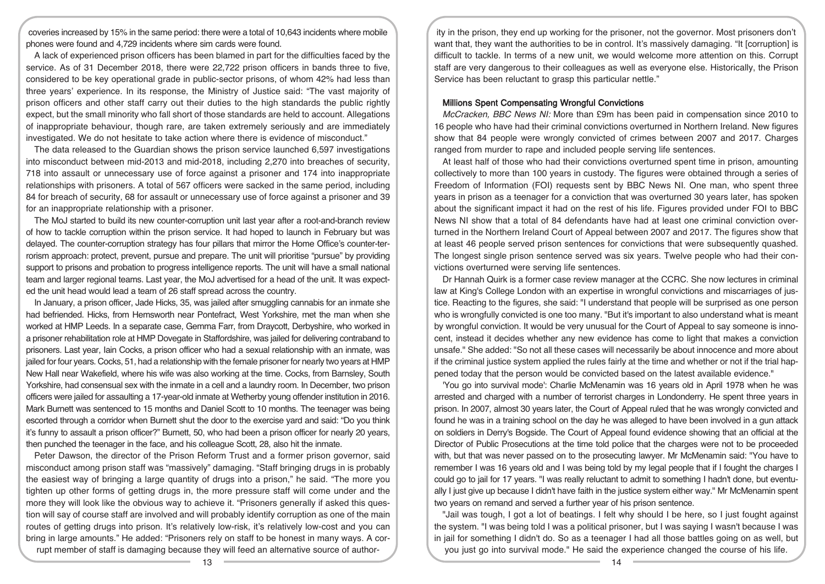coveries increased by 15% in the same period: there were a total of 10,643 incidents where mobile phones were found and 4,729 incidents where sim cards were found.

A lack of experienced prison officers has been blamed in part for the difficulties faced by the service. As of 31 December 2018, there were 22,722 prison officers in bands three to five, considered to be key operational grade in public-sector prisons, of whom 42% had less than three years' experience. In its response, the Ministry of Justice said: "The vast majority of prison officers and other staff carry out their duties to the high standards the public rightly expect, but the small minority who fall short of those standards are held to account. Allegations of inappropriate behaviour, though rare, are taken extremely seriously and are immediately investigated. We do not hesitate to take action where there is evidence of misconduct."

The data released to the Guardian shows the prison service launched 6,597 investigations into misconduct between mid-2013 and mid-2018, including 2,270 into breaches of security, 718 into assault or unnecessary use of force against a prisoner and 174 into inappropriate relationships with prisoners. A total of 567 officers were sacked in the same period, including 84 for breach of security, 68 for assault or unnecessary use of force against a prisoner and 39 for an inappropriate relationship with a prisoner.

The MoJ started to build its new counter-corruption unit last year after a root-and-branch review of how to tackle corruption within the prison service. It had hoped to launch in February but was delayed. The counter-corruption strategy has four pillars that mirror the Home Office's counter-terrorism approach: protect, prevent, pursue and prepare. The unit will prioritise "pursue" by providing support to prisons and probation to progress intelligence reports. The unit will have a small national team and larger regional teams. Last year, the MoJ advertised for a head of the unit. It was expected the unit head would lead a team of 26 staff spread across the country.

In January, a prison officer, Jade Hicks, 35, was jailed after smuggling cannabis for an inmate she had befriended. Hicks, from Hemsworth near Pontefract, West Yorkshire, met the man when she worked at HMP Leeds. In a separate case, Gemma Farr, from Draycott, Derbyshire, who worked in a prisoner rehabilitation role at HMP Dovegate in Staffordshire, was jailed for delivering contraband to prisoners. Last year, Iain Cocks, a prison officer who had a sexual relationship with an inmate, was jailed for four years. Cocks, 51, had a relationship with the female prisoner for nearly two years at HMP New Hall near Wakefield, where his wife was also working at the time. Cocks, from Barnsley, South Yorkshire, had consensual sex with the inmate in a cell and a laundry room. In December, two prison officers were jailed for assaulting a 17-year-old inmate at Wetherby young offender institution in 2016. Mark Burnett was sentenced to 15 months and Daniel Scott to 10 months. The teenager was being escorted through a corridor when Burnett shut the door to the exercise yard and said: "Do you think it's funny to assault a prison officer?" Burnett, 50, who had been a prison officer for nearly 20 years, then punched the teenager in the face, and his colleague Scott, 28, also hit the inmate.

Peter Dawson, the director of the Prison Reform Trust and a former prison governor, said misconduct among prison staff was "massively" damaging. "Staff bringing drugs in is probably the easiest way of bringing a large quantity of drugs into a prison," he said. "The more you tighten up other forms of getting drugs in, the more pressure staff will come under and the more they will look like the obvious way to achieve it. "Prisoners generally if asked this question will say of course staff are involved and will probably identify corruption as one of the main routes of getting drugs into prison. It's relatively low-risk, it's relatively low-cost and you can bring in large amounts." He added: "Prisoners rely on staff to be honest in many ways. A corrupt member of staff is damaging because they will feed an alternative source of author-

ity in the prison, they end up working for the prisoner, not the governor. Most prisoners don't want that, they want the authorities to be in control. It's massively damaging. "It [corruption] is difficult to tackle. In terms of a new unit, we would welcome more attention on this. Corrupt staff are very dangerous to their colleagues as well as everyone else. Historically, the Prison Service has been reluctant to grasp this particular nettle."

## Millions Spent Compensating Wrongful Convictions

McCracken, BBC News NI: More than £9m has been paid in compensation since 2010 to 16 people who have had their criminal convictions overturned in Northern Ireland. New figures show that 84 people were wrongly convicted of crimes between 2007 and 2017. Charges ranged from murder to rape and included people serving life sentences.

At least half of those who had their convictions overturned spent time in prison, amounting collectively to more than 100 years in custody. The figures were obtained through a series of Freedom of Information (FOI) requests sent by BBC News NI. One man, who spent three years in prison as a teenager for a conviction that was overturned 30 years later, has spoken about the significant impact it had on the rest of his life. Figures provided under FOI to BBC News NI show that a total of 84 defendants have had at least one criminal conviction overturned in the Northern Ireland Court of Appeal between 2007 and 2017. The figures show that at least 46 people served prison sentences for convictions that were subsequently quashed. The longest single prison sentence served was six years. Twelve people who had their convictions overturned were serving life sentences.

Dr Hannah Quirk is a former case review manager at the CCRC. She now lectures in criminal law at King's College London with an expertise in wrongful convictions and miscarriages of justice. Reacting to the figures, she said: "I understand that people will be surprised as one person who is wrongfully convicted is one too many. "But it's important to also understand what is meant by wrongful conviction. It would be very unusual for the Court of Appeal to say someone is innocent, instead it decides whether any new evidence has come to light that makes a conviction unsafe." She added: "So not all these cases will necessarily be about innocence and more about if the criminal justice system applied the rules fairly at the time and whether or not if the trial happened today that the person would be convicted based on the latest available evidence."

'You go into survival mode': Charlie McMenamin was 16 years old in April 1978 when he was arrested and charged with a number of terrorist charges in Londonderry. He spent three years in prison. In 2007, almost 30 years later, the Court of Appeal ruled that he was wrongly convicted and found he was in a training school on the day he was alleged to have been involved in a gun attack on soldiers in Derry's Bogside. The Court of Appeal found evidence showing that an official at the Director of Public Prosecutions at the time told police that the charges were not to be proceeded with, but that was never passed on to the prosecuting lawyer. Mr McMenamin said: "You have to remember I was 16 years old and I was being told by my legal people that if I fought the charges I could go to jail for 17 years. "I was really reluctant to admit to something I hadn't done, but eventually I just give up because I didn't have faith in the justice system either way." Mr McMenamin spent two years on remand and served a further year of his prison sentence.

"Jail was tough, I got a lot of beatings. I felt why should I be here, so I just fought against the system. "I was being told I was a political prisoner, but I was saying I wasn't because I was in jail for something I didn't do. So as a teenager I had all those battles going on as well, but you just go into survival mode." He said the experience changed the course of his life.